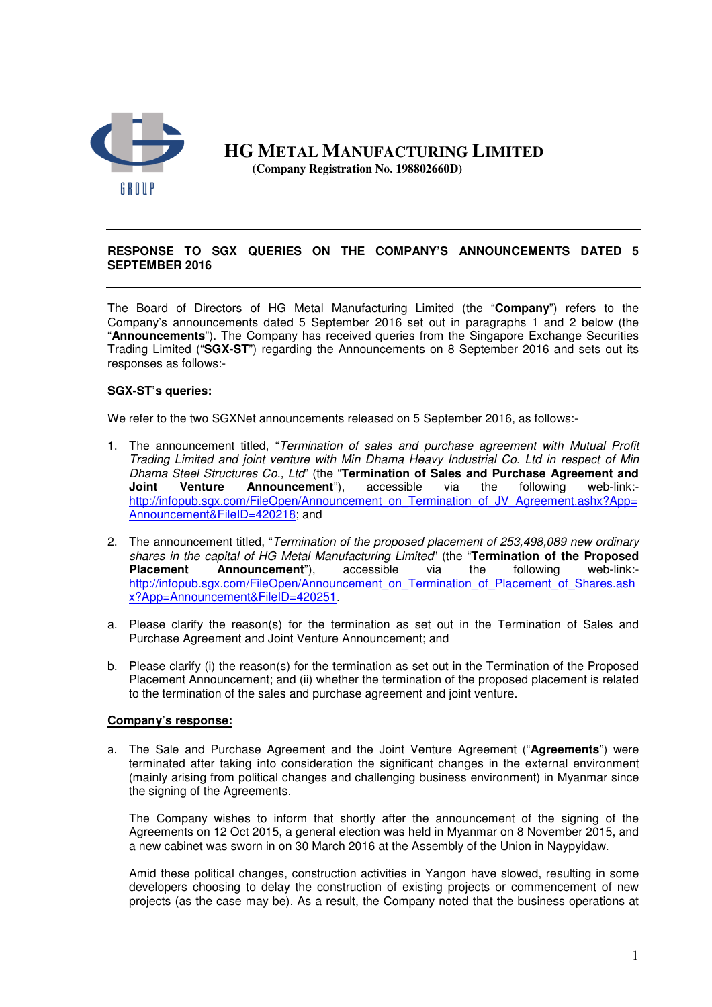

 **HG METAL MANUFACTURING LIMITED (Company Registration No. 198802660D)** 

## **RESPONSE TO SGX QUERIES ON THE COMPANY'S ANNOUNCEMENTS DATED 5 SEPTEMBER 2016**

The Board of Directors of HG Metal Manufacturing Limited (the "**Company**") refers to the Company's announcements dated 5 September 2016 set out in paragraphs 1 and 2 below (the "**Announcements**"). The Company has received queries from the Singapore Exchange Securities Trading Limited ("**SGX-ST**") regarding the Announcements on 8 September 2016 and sets out its responses as follows:-

## **SGX-ST's queries:**

We refer to the two SGXNet announcements released on 5 September 2016, as follows:-

- 1. The announcement titled, "Termination of sales and purchase agreement with Mutual Profit Trading Limited and joint venture with Min Dhama Heavy Industrial Co. Ltd in respect of Min Dhama Steel Structures Co., Ltd" (the "**Termination of Sales and Purchase Agreement and Joint Venture Announcement**"), accessible via the following web-link: http://infopub.sgx.com/FileOpen/Announcement\_on\_Termination\_of\_JV\_Agreement.ashx?App= Announcement&FileID=420218; and
- 2. The announcement titled, "Termination of the proposed placement of 253,498,089 new ordinary shares in the capital of HG Metal Manufacturing Limited" (the "**Termination of the Proposed Placement Announcement**"), accessible via the following web-link: http://infopub.sgx.com/FileOpen/Announcement\_on\_Termination\_of\_Placement\_of\_Shares.ash x?App=Announcement&FileID=420251.
- a. Please clarify the reason(s) for the termination as set out in the Termination of Sales and Purchase Agreement and Joint Venture Announcement; and
- b. Please clarify (i) the reason(s) for the termination as set out in the Termination of the Proposed Placement Announcement; and (ii) whether the termination of the proposed placement is related to the termination of the sales and purchase agreement and joint venture.

## **Company's response:**

a. The Sale and Purchase Agreement and the Joint Venture Agreement ("**Agreements**") were terminated after taking into consideration the significant changes in the external environment (mainly arising from political changes and challenging business environment) in Myanmar since the signing of the Agreements.

The Company wishes to inform that shortly after the announcement of the signing of the Agreements on 12 Oct 2015, a general election was held in Myanmar on 8 November 2015, and a new cabinet was sworn in on 30 March 2016 at the Assembly of the Union in Naypyidaw.

Amid these political changes, construction activities in Yangon have slowed, resulting in some developers choosing to delay the construction of existing projects or commencement of new projects (as the case may be). As a result, the Company noted that the business operations at